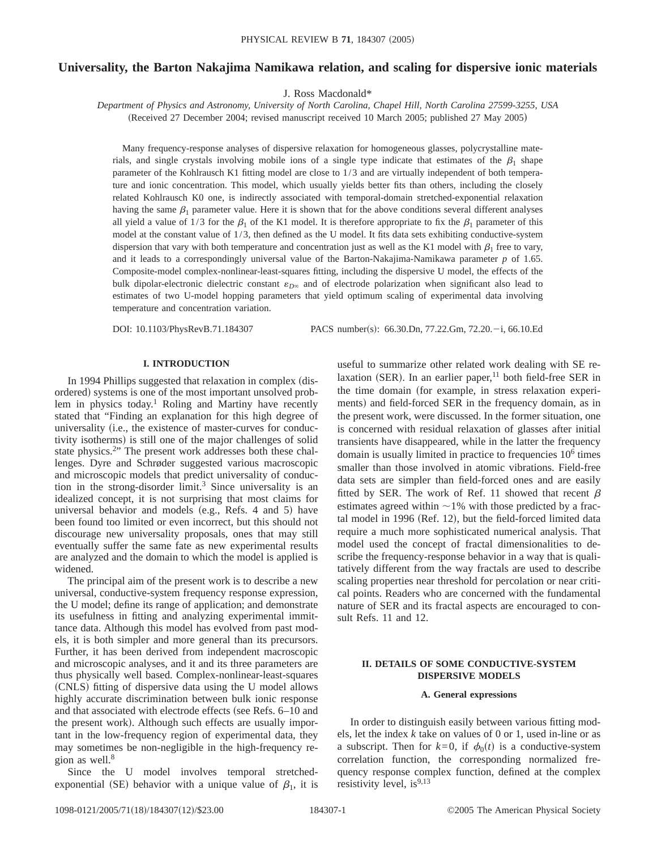# **Universality, the Barton Nakajima Namikawa relation, and scaling for dispersive ionic materials**

J. Ross Macdonald\*

*Department of Physics and Astronomy, University of North Carolina, Chapel Hill, North Carolina 27599-3255, USA* (Received 27 December 2004; revised manuscript received 10 March 2005; published 27 May 2005)

Many frequency-response analyses of dispersive relaxation for homogeneous glasses, polycrystalline materials, and single crystals involving mobile ions of a single type indicate that estimates of the  $\beta_1$  shape parameter of the Kohlrausch K1 fitting model are close to 1/3 and are virtually independent of both temperature and ionic concentration. This model, which usually yields better fits than others, including the closely related Kohlrausch K0 one, is indirectly associated with temporal-domain stretched-exponential relaxation having the same  $\beta_1$  parameter value. Here it is shown that for the above conditions several different analyses all yield a value of  $1/3$  for the  $\beta_1$  of the K1 model. It is therefore appropriate to fix the  $\beta_1$  parameter of this model at the constant value of 1/3, then defined as the U model. It fits data sets exhibiting conductive-system dispersion that vary with both temperature and concentration just as well as the K1 model with  $\beta_1$  free to vary, and it leads to a correspondingly universal value of the Barton-Nakajima-Namikawa parameter *p* of 1.65. Composite-model complex-nonlinear-least-squares fitting, including the dispersive U model, the effects of the bulk dipolar-electronic dielectric constant  $\varepsilon_{D^\infty}$  and of electrode polarization when significant also lead to estimates of two U-model hopping parameters that yield optimum scaling of experimental data involving temperature and concentration variation.

DOI: 10.1103/PhysRevB.71.184307 PACS number(s): 66.30.Dn, 77.22.Gm, 72.20.-i, 66.10.Ed

## **I. INTRODUCTION**

In 1994 Phillips suggested that relaxation in complex (disordered) systems is one of the most important unsolved problem in physics today.<sup>1</sup> Roling and Martiny have recently stated that "Finding an explanation for this high degree of universality (i.e., the existence of master-curves for conductivity isotherms) is still one of the major challenges of solid state physics.<sup>2</sup>" The present work addresses both these challenges. Dyre and Schrøder suggested various macroscopic and microscopic models that predict universality of conduction in the strong-disorder limit.<sup>3</sup> Since universality is an idealized concept, it is not surprising that most claims for universal behavior and models (e.g., Refs. 4 and 5) have been found too limited or even incorrect, but this should not discourage new universality proposals, ones that may still eventually suffer the same fate as new experimental results are analyzed and the domain to which the model is applied is widened.

The principal aim of the present work is to describe a new universal, conductive-system frequency response expression, the U model; define its range of application; and demonstrate its usefulness in fitting and analyzing experimental immittance data. Although this model has evolved from past models, it is both simpler and more general than its precursors. Further, it has been derived from independent macroscopic and microscopic analyses, and it and its three parameters are thus physically well based. Complex-nonlinear-least-squares (CNLS) fitting of dispersive data using the U model allows highly accurate discrimination between bulk ionic response and that associated with electrode effects (see Refs. 6–10 and the present work). Although such effects are usually important in the low-frequency region of experimental data, they may sometimes be non-negligible in the high-frequency region as well. $8$ 

Since the U model involves temporal stretchedexponential (SE) behavior with a unique value of  $\beta_1$ , it is useful to summarize other related work dealing with SE relaxation (SER). In an earlier paper, $11$  both field-free SER in the time domain (for example, in stress relaxation experiments) and field-forced SER in the frequency domain, as in the present work, were discussed. In the former situation, one is concerned with residual relaxation of glasses after initial transients have disappeared, while in the latter the frequency domain is usually limited in practice to frequencies  $10^6$  times smaller than those involved in atomic vibrations. Field-free data sets are simpler than field-forced ones and are easily fitted by SER. The work of Ref. 11 showed that recent  $\beta$ estimates agreed within  $\sim$  1% with those predicted by a fractal model in 1996 (Ref. 12), but the field-forced limited data require a much more sophisticated numerical analysis. That model used the concept of fractal dimensionalities to describe the frequency-response behavior in a way that is qualitatively different from the way fractals are used to describe scaling properties near threshold for percolation or near critical points. Readers who are concerned with the fundamental nature of SER and its fractal aspects are encouraged to consult Refs. 11 and 12.

# **II. DETAILS OF SOME CONDUCTIVE-SYSTEM DISPERSIVE MODELS**

### **A. General expressions**

In order to distinguish easily between various fitting models, let the index *k* take on values of 0 or 1, used in-line or as a subscript. Then for  $k=0$ , if  $\phi_0(t)$  is a conductive-system correlation function, the corresponding normalized frequency response complex function, defined at the complex resistivity level,  $is^{9,13}$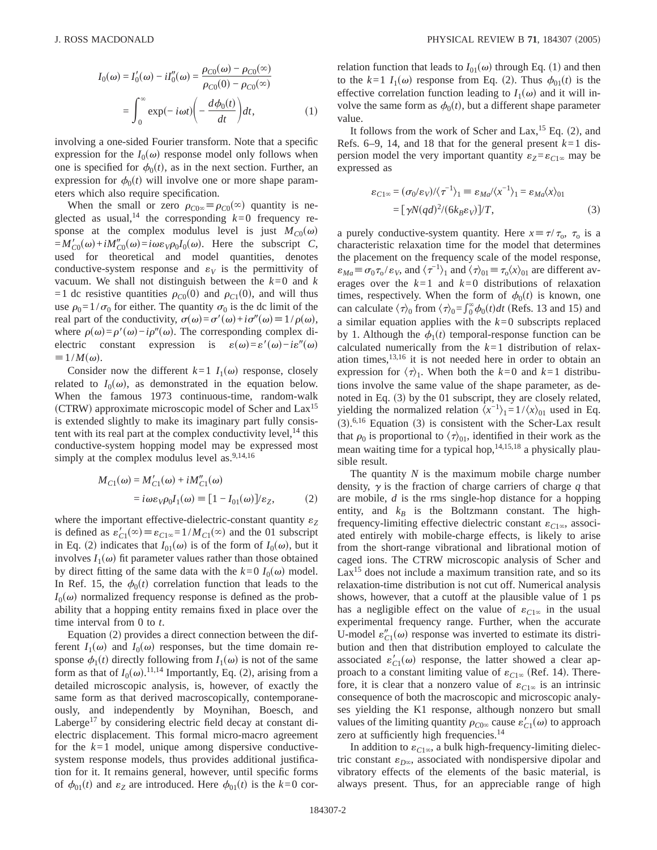$$
I_0(\omega) = I'_0(\omega) - iI''_0(\omega) = \frac{\rho_{C0}(\omega) - \rho_{C0}(\infty)}{\rho_{C0}(0) - \rho_{C0}(\infty)}
$$

$$
= \int_0^\infty \exp(-i\omega t) \left(-\frac{d\phi_0(t)}{dt}\right) dt, \tag{1}
$$

involving a one-sided Fourier transform. Note that a specific expression for the  $I_0(\omega)$  response model only follows when one is specified for  $\phi_0(t)$ , as in the next section. Further, an expression for  $\phi_0(t)$  will involve one or more shape parameters which also require specification.

When the small or zero  $\rho_{C0\infty} \equiv \rho_{C0}(\infty)$  quantity is neglected as usual,<sup>14</sup> the corresponding  $k=0$  frequency response at the complex modulus level is just  $M_{C0}(\omega)$  $=M'_{C0}(\omega) + iM''_{C0}(\omega) = i\omega\varepsilon_V \rho_0 I_0(\omega)$ . Here the subscript *C*, used for theoretical and model quantities, denotes conductive-system response and  $\varepsilon_V$  is the permittivity of vacuum. We shall not distinguish between the *k*=0 and *k* =1 dc resistive quantities  $\rho_{C0}(0)$  and  $\rho_{C1}(0)$ , and will thus use  $\rho_0=1/\sigma_0$  for either. The quantity  $\sigma_0$  is the dc limit of the real part of the conductivity,  $\sigma(\omega) = \sigma'(\omega) + i\sigma''(\omega) \equiv 1/\rho(\omega)$ , where  $\rho(\omega)=\rho'(\omega)-i\rho''(\omega)$ . The corresponding complex dielectric constant expression is  $\varepsilon(\omega)=\varepsilon'(\omega)-i\varepsilon''(\omega)$  $\equiv 1/M(\omega)$ .

Consider now the different  $k=1$   $I_1(\omega)$  response, closely related to  $I_0(\omega)$ , as demonstrated in the equation below. When the famous 1973 continuous-time, random-walk (CTRW) approximate microscopic model of Scher and  $Lax^{15}$ is extended slightly to make its imaginary part fully consistent with its real part at the complex conductivity level,  $^{14}$  this conductive-system hopping model may be expressed most simply at the complex modulus level as. $9,14,16$ 

$$
M_{C1}(\omega) = M'_{C1}(\omega) + iM''_{C1}(\omega)
$$
  
=  $i\omega\varepsilon_V\rho_0I_1(\omega) \equiv [1 - I_{01}(\omega)]/\varepsilon_Z,$  (2)

where the important effective-dielectric-constant quantity  $\varepsilon$ <sub>Z</sub> is defined as  $\varepsilon'_{C1}(\infty) \equiv \varepsilon_{C1\infty} = 1/M_{C1}(\infty)$  and the 01 subscript in Eq. (2) indicates that  $I_{01}(\omega)$  is of the form of  $I_0(\omega)$ , but it involves  $I_1(\omega)$  fit parameter values rather than those obtained by direct fitting of the same data with the  $k=0$   $I_0(\omega)$  model. In Ref. 15, the  $\phi_0(t)$  correlation function that leads to the  $I_0(\omega)$  normalized frequency response is defined as the probability that a hopping entity remains fixed in place over the time interval from 0 to *t*.

Equation (2) provides a direct connection between the different  $I_1(\omega)$  and  $I_0(\omega)$  responses, but the time domain response  $\phi_1(t)$  directly following from  $I_1(\omega)$  is not of the same form as that of  $I_0(\omega)$ .<sup>11,14</sup> Importantly, Eq. (2), arising from a detailed microscopic analysis, is, however, of exactly the same form as that derived macroscopically, contemporaneously, and independently by Moynihan, Boesch, and Laberge<sup>17</sup> by considering electric field decay at constant dielectric displacement. This formal micro-macro agreement for the  $k=1$  model, unique among dispersive conductivesystem response models, thus provides additional justification for it. It remains general, however, until specific forms of  $\phi_{01}(t)$  and  $\varepsilon_Z$  are introduced. Here  $\phi_{01}(t)$  is the  $k=0$  correlation function that leads to  $I_{01}(\omega)$  through Eq. (1) and then to the  $k=1$   $I_1(\omega)$  response from Eq. (2). Thus  $\phi_{01}(t)$  is the effective correlation function leading to  $I_1(\omega)$  and it will involve the same form as  $\phi_0(t)$ , but a different shape parameter value.

It follows from the work of Scher and Lax,  $^{15}$  Eq. (2), and Refs.  $6-9$ , 14, and 18 that for the general present  $k=1$  dispersion model the very important quantity  $\varepsilon_Z = \varepsilon_{C1\infty}$  may be expressed as

$$
\varepsilon_{C1\infty} = (\sigma_0/\varepsilon_V)/\langle \tau^{-1} \rangle_1 \equiv \varepsilon_{Md} / \langle x^{-1} \rangle_1 = \varepsilon_{Ma} \langle x \rangle_{01}
$$
  
= 
$$
[\gamma N(qd)^2/(6k_B\varepsilon_V)]/T,
$$
 (3)

a purely conductive-system quantity. Here  $x \equiv \tau/\tau_0$ ,  $\tau_0$  is a characteristic relaxation time for the model that determines the placement on the frequency scale of the model response,  $\varepsilon_{Ma} \equiv \sigma_0 \tau_0 / \varepsilon_V$ , and  $\langle \tau^{-1} \rangle_1$  and  $\langle \tau \rangle_{01} \equiv \tau_0 \langle x \rangle_{01}$  are different averages over the  $k=1$  and  $k=0$  distributions of relaxation times, respectively. When the form of  $\phi_0(t)$  is known, one can calculate  $\langle \tau \rangle_0$  from  $\langle \tau \rangle_0 = \int_0^\infty \phi_0(t) dt$  (Refs. 13 and 15) and a similar equation applies with the *k*=0 subscripts replaced by 1. Although the  $\phi_1(t)$  temporal-response function can be calculated numerically from the *k*=1 distribution of relaxation times, $13,16$  it is not needed here in order to obtain an expression for  $\langle \tau \rangle_1$ . When both the  $k=0$  and  $k=1$  distributions involve the same value of the shape parameter, as denoted in Eq.  $(3)$  by the 01 subscript, they are closely related, yielding the normalized relation  $\langle x^{-1} \rangle_1 = 1/\langle x \rangle_0$  used in Eq.  $(3)$ .<sup>6,16</sup> Equation (3) is consistent with the Scher-Lax result that  $\rho_0$  is proportional to  $\langle \tau \rangle_{01}$ , identified in their work as the mean waiting time for a typical hop,  $14,15,18$  a physically plausible result.

The quantity *N* is the maximum mobile charge number density,  $\gamma$  is the fraction of charge carriers of charge  $q$  that are mobile, *d* is the rms single-hop distance for a hopping entity, and  $k_B$  is the Boltzmann constant. The highfrequency-limiting effective dielectric constant  $\varepsilon_{C1\infty}$ , associated entirely with mobile-charge effects, is likely to arise from the short-range vibrational and librational motion of caged ions. The CTRW microscopic analysis of Scher and  $Lax^{15}$  does not include a maximum transition rate, and so its relaxation-time distribution is not cut off. Numerical analysis shows, however, that a cutoff at the plausible value of 1 ps has a negligible effect on the value of  $\varepsilon_{C1\infty}$  in the usual experimental frequency range. Further, when the accurate U-model  $\varepsilon_{C1}''(\omega)$  response was inverted to estimate its distribution and then that distribution employed to calculate the associated  $\varepsilon'_{C1}(\omega)$  response, the latter showed a clear approach to a constant limiting value of  $\varepsilon_{C1\infty}$  (Ref. 14). Therefore, it is clear that a nonzero value of  $\varepsilon_{C1\infty}$  is an intrinsic consequence of both the macroscopic and microscopic analyses yielding the K1 response, although nonzero but small values of the limiting quantity  $\rho_{C0\infty}$  cause  $\varepsilon'_{C1}(\omega)$  to approach zero at sufficiently high frequencies.<sup>14</sup>

In addition to  $\varepsilon_{C1\infty}$ , a bulk high-frequency-limiting dielectric constant  $\varepsilon_{D^\infty}$ , associated with nondispersive dipolar and vibratory effects of the elements of the basic material, is always present. Thus, for an appreciable range of high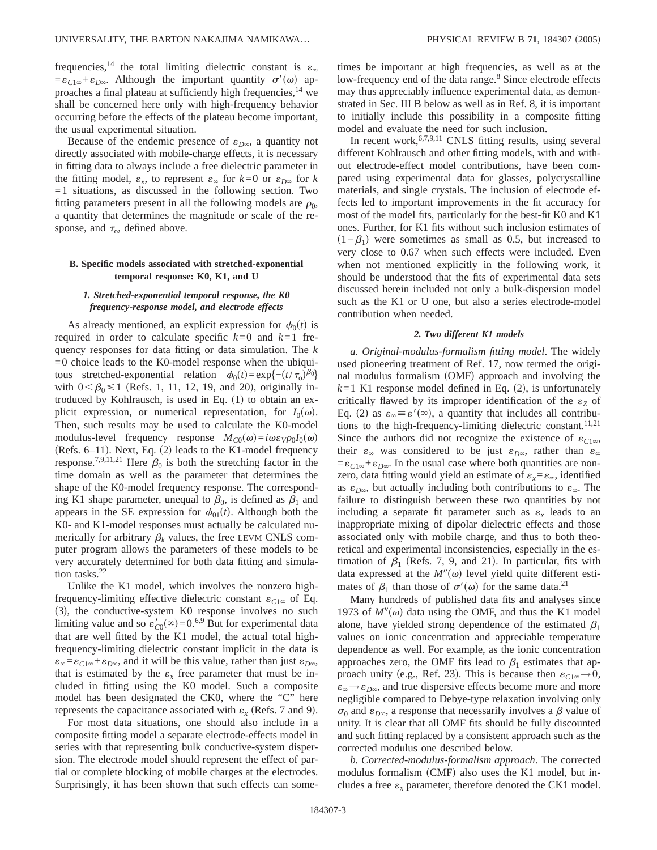frequencies,<sup>14</sup> the total limiting dielectric constant is  $\varepsilon_{\infty}$  $=\varepsilon_{C1\infty}+\varepsilon_{D\infty}$ . Although the important quantity  $\sigma'(\omega)$  approaches a final plateau at sufficiently high frequencies,<sup>14</sup> we shall be concerned here only with high-frequency behavior occurring before the effects of the plateau become important, the usual experimental situation.

Because of the endemic presence of  $\varepsilon_{D\infty}$ , a quantity not directly associated with mobile-charge effects, it is necessary in fitting data to always include a free dielectric parameter in the fitting model,  $\varepsilon_r$ , to represent  $\varepsilon_{\infty}$  for  $k=0$  or  $\varepsilon_{D\infty}$  for *k*  $=1$  situations, as discussed in the following section. Two fitting parameters present in all the following models are  $\rho_0$ , a quantity that determines the magnitude or scale of the response, and  $\tau_o$ , defined above.

# **B. Specific models associated with stretched-exponential temporal response: K0, K1, and U**

# *1. Stretched-exponential temporal response, the K0 frequency-response model, and electrode effects*

As already mentioned, an explicit expression for  $\phi_0(t)$  is required in order to calculate specific  $k=0$  and  $k=1$  frequency responses for data fitting or data simulation. The *k*  $=0$  choice leads to the K0-model response when the ubiquitous stretched-exponential relation  $\phi_0(t) = \exp\{-(t/\tau_0)^{\beta_0}\}$ with  $0<\beta_0\leq 1$  (Refs. 1, 11, 12, 19, and 20), originally introduced by Kohlrausch, is used in Eq.  $(1)$  to obtain an explicit expression, or numerical representation, for  $I_0(\omega)$ . Then, such results may be used to calculate the K0-model modulus-level frequency response  $M_{C0}(\omega) = i\omega \varepsilon_V \rho_0 I_0(\omega)$ (Refs.  $6-11$ ). Next, Eq. (2) leads to the K1-model frequency response.<sup>7,9,11,21</sup> Here  $\beta_0$  is both the stretching factor in the time domain as well as the parameter that determines the shape of the K0-model frequency response. The corresponding K1 shape parameter, unequal to  $\beta_0$ , is defined as  $\beta_1$  and appears in the SE expression for  $\phi_{01}(t)$ . Although both the K0- and K1-model responses must actually be calculated numerically for arbitrary  $\beta_k$  values, the free LEVM CNLS computer program allows the parameters of these models to be very accurately determined for both data fitting and simulation tasks.<sup>22</sup>

Unlike the K1 model, which involves the nonzero highfrequency-limiting effective dielectric constant  $\varepsilon_{C1\infty}$  of Eq.  $(3)$ , the conductive-system K0 response involves no such limiting value and so  $\varepsilon'_{C0}(\infty) = 0.69$  But for experimental data that are well fitted by the K1 model, the actual total highfrequency-limiting dielectric constant implicit in the data is  $\varepsilon_{\infty} = \varepsilon_{C1\infty} + \varepsilon_{D\infty}$ , and it will be this value, rather than just  $\varepsilon_{D\infty}$ , that is estimated by the  $\varepsilon_x$  free parameter that must be included in fitting using the K0 model. Such a composite model has been designated the CK0, where the "C" here represents the capacitance associated with  $\varepsilon_r$  (Refs. 7 and 9).

For most data situations, one should also include in a composite fitting model a separate electrode-effects model in series with that representing bulk conductive-system dispersion. The electrode model should represent the effect of partial or complete blocking of mobile charges at the electrodes. Surprisingly, it has been shown that such effects can sometimes be important at high frequencies, as well as at the low-frequency end of the data range.<sup>8</sup> Since electrode effects may thus appreciably influence experimental data, as demonstrated in Sec. III B below as well as in Ref. 8, it is important to initially include this possibility in a composite fitting model and evaluate the need for such inclusion.

In recent work,  $6,7,9,11$  CNLS fitting results, using several different Kohlrausch and other fitting models, with and without electrode-effect model contributions, have been compared using experimental data for glasses, polycrystalline materials, and single crystals. The inclusion of electrode effects led to important improvements in the fit accuracy for most of the model fits, particularly for the best-fit K0 and K1 ones. Further, for K1 fits without such inclusion estimates of  $(1-\beta_1)$  were sometimes as small as 0.5, but increased to very close to 0.67 when such effects were included. Even when not mentioned explicitly in the following work, it should be understood that the fits of experimental data sets discussed herein included not only a bulk-dispersion model such as the K1 or U one, but also a series electrode-model contribution when needed.

## *2. Two different K1 models*

*a. Original-modulus-formalism fitting model*. The widely used pioneering treatment of Ref. 17, now termed the original modulus formalism (OMF) approach and involving the  $k=1$  K1 response model defined in Eq. (2), is unfortunately critically flawed by its improper identification of the  $\varepsilon_Z$  of Eq. (2) as  $\varepsilon_{\infty} \equiv \varepsilon'(\infty)$ , a quantity that includes all contributions to the high-frequency-limiting dielectric constant.<sup>11,21</sup> Since the authors did not recognize the existence of  $\varepsilon_{C1\infty}$ , their  $\varepsilon_{\infty}$  was considered to be just  $\varepsilon_{D\infty}$ , rather than  $\varepsilon_{\infty}$  $=\varepsilon_{C1\infty}+\varepsilon_{D\infty}$ . In the usual case where both quantities are nonzero, data fitting would yield an estimate of  $\varepsilon_x = \varepsilon_\infty$ , identified as  $\varepsilon_{D\infty}$ , but actually including both contributions to  $\varepsilon_{\infty}$ . The failure to distinguish between these two quantities by not including a separate fit parameter such as  $\varepsilon_r$  leads to an inappropriate mixing of dipolar dielectric effects and those associated only with mobile charge, and thus to both theoretical and experimental inconsistencies, especially in the estimation of  $\beta_1$  (Refs. 7, 9, and 21). In particular, fits with data expressed at the  $M''(\omega)$  level yield quite different estimates of  $\beta_1$  than those of  $\sigma'(\omega)$  for the same data.<sup>21</sup>

Many hundreds of published data fits and analyses since 1973 of  $M''(\omega)$  data using the OMF, and thus the K1 model alone, have yielded strong dependence of the estimated  $\beta_1$ values on ionic concentration and appreciable temperature dependence as well. For example, as the ionic concentration approaches zero, the OMF fits lead to  $\beta_1$  estimates that approach unity (e.g., Ref. 23). This is because then  $\varepsilon_{C1\infty} \rightarrow 0$ ,  $\varepsilon_{\infty} \rightarrow \varepsilon_{D\infty}$ , and true dispersive effects become more and more negligible compared to Debye-type relaxation involving only  $\sigma_0$  and  $\varepsilon_{D\infty}$ , a response that necessarily involves a  $\beta$  value of unity. It is clear that all OMF fits should be fully discounted and such fitting replaced by a consistent approach such as the corrected modulus one described below.

*b. Corrected-modulus-formalism approach*. The corrected modulus formalism  $(CMF)$  also uses the K1 model, but includes a free  $\varepsilon_x$  parameter, therefore denoted the CK1 model.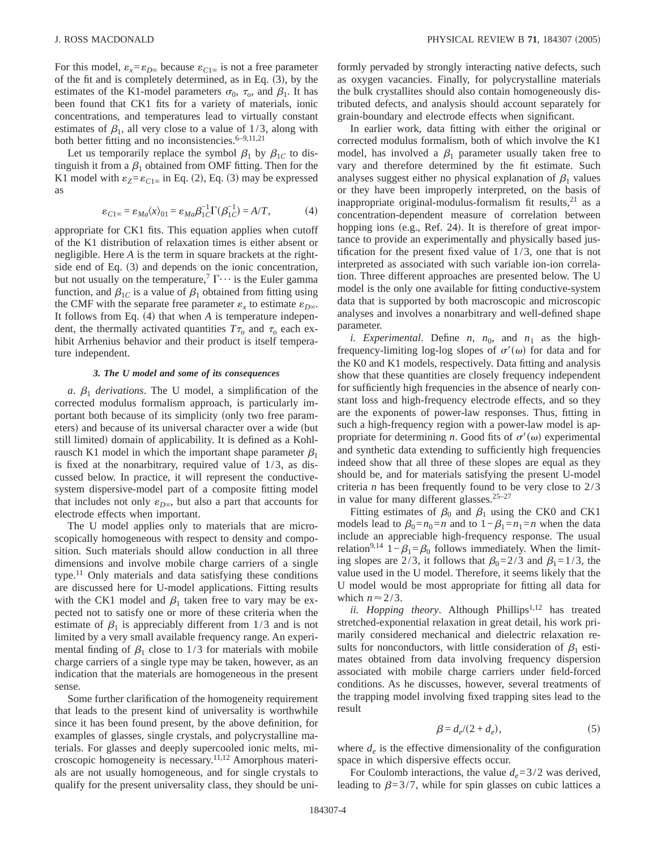For this model,  $\varepsilon_x = \varepsilon_{D^\infty}$  because  $\varepsilon_{C1^\infty}$  is not a free parameter of the fit and is completely determined, as in Eq.  $(3)$ , by the estimates of the K1-model parameters  $\sigma_0$ ,  $\tau_0$ , and  $\beta_1$ . It has been found that CK1 fits for a variety of materials, ionic concentrations, and temperatures lead to virtually constant estimates of  $\beta_1$ , all very close to a value of 1/3, along with both better fitting and no inconsistencies.<sup>6-9,11,21</sup>

Let us temporarily replace the symbol  $\beta_1$  by  $\beta_{1C}$  to distinguish it from a  $\beta_1$  obtained from OMF fitting. Then for the K1 model with  $\varepsilon_Z = \varepsilon_{C1\infty}$  in Eq. (2), Eq. (3) may be expressed as

$$
\varepsilon_{C1\infty} = \varepsilon_{Ma} \langle x \rangle_{01} = \varepsilon_{Ma} \beta_{1C}^{-1} \Gamma(\beta_{1C}^{-1}) = A/T, \tag{4}
$$

appropriate for CK1 fits. This equation applies when cutoff of the K1 distribution of relaxation times is either absent or negligible. Here *A* is the term in square brackets at the rightside end of Eq.  $(3)$  and depends on the ionic concentration, but not usually on the temperature,<sup>7</sup>  $\Gamma \cdots$  is the Euler gamma function, and  $\beta_{1C}$  is a value of  $\beta_1$  obtained from fitting using the CMF with the separate free parameter  $\varepsilon_x$  to estimate  $\varepsilon_{D^\infty}$ . It follows from Eq.  $(4)$  that when  $A$  is temperature independent, the thermally activated quantities  $T\tau_0$  and  $\tau_0$  each exhibit Arrhenius behavior and their product is itself temperature independent.

## *3. The U model and some of its consequences*

*a*.  $\beta_1$  *derivations*. The U model, a simplification of the corrected modulus formalism approach, is particularly important both because of its simplicity (only two free parameters) and because of its universal character over a wide (but still limited) domain of applicability. It is defined as a Kohlrausch K1 model in which the important shape parameter  $\beta_1$ is fixed at the nonarbitrary, required value of 1/3, as discussed below. In practice, it will represent the conductivesystem dispersive-model part of a composite fitting model that includes not only  $\varepsilon_{D\infty}$ , but also a part that accounts for electrode effects when important.

The U model applies only to materials that are microscopically homogeneous with respect to density and composition. Such materials should allow conduction in all three dimensions and involve mobile charge carriers of a single type.<sup>11</sup> Only materials and data satisfying these conditions are discussed here for U-model applications. Fitting results with the CK1 model and  $\beta_1$  taken free to vary may be expected not to satisfy one or more of these criteria when the estimate of  $\beta_1$  is appreciably different from 1/3 and is not limited by a very small available frequency range. An experimental finding of  $\beta_1$  close to 1/3 for materials with mobile charge carriers of a single type may be taken, however, as an indication that the materials are homogeneous in the present sense.

Some further clarification of the homogeneity requirement that leads to the present kind of universality is worthwhile since it has been found present, by the above definition, for examples of glasses, single crystals, and polycrystalline materials. For glasses and deeply supercooled ionic melts, microscopic homogeneity is necessary.11,12 Amorphous materials are not usually homogeneous, and for single crystals to qualify for the present universality class, they should be uniformly pervaded by strongly interacting native defects, such as oxygen vacancies. Finally, for polycrystalline materials the bulk crystallites should also contain homogeneously distributed defects, and analysis should account separately for grain-boundary and electrode effects when significant.

In earlier work, data fitting with either the original or corrected modulus formalism, both of which involve the K1 model, has involved a  $\beta_1$  parameter usually taken free to vary and therefore determined by the fit estimate. Such analyses suggest either no physical explanation of  $\beta_1$  values or they have been improperly interpreted, on the basis of inappropriate original-modulus-formalism fit results,<sup>21</sup> as a concentration-dependent measure of correlation between hopping ions (e.g., Ref. 24). It is therefore of great importance to provide an experimentally and physically based justification for the present fixed value of 1/3, one that is not interpreted as associated with such variable ion-ion correlation. Three different approaches are presented below. The U model is the only one available for fitting conductive-system data that is supported by both macroscopic and microscopic analyses and involves a nonarbitrary and well-defined shape parameter.

*i. Experimental.* Define *n*,  $n_0$ , and  $n_1$  as the highfrequency-limiting log-log slopes of  $\sigma'(\omega)$  for data and for the K0 and K1 models, respectively. Data fitting and analysis show that these quantities are closely frequency independent for sufficiently high frequencies in the absence of nearly constant loss and high-frequency electrode effects, and so they are the exponents of power-law responses. Thus, fitting in such a high-frequency region with a power-law model is appropriate for determining *n*. Good fits of  $\sigma'(\omega)$  experimental and synthetic data extending to sufficiently high frequencies indeed show that all three of these slopes are equal as they should be, and for materials satisfying the present U-model criteria *n* has been frequently found to be very close to 2/3 in value for many different glasses.25–27

Fitting estimates of  $\beta_0$  and  $\beta_1$  using the CK0 and CK1 models lead to  $\beta_0=n_0=n$  and to  $1-\beta_1=n_1=n$  when the data include an appreciable high-frequency response. The usual relation<sup>9,14</sup> 1− $\beta_1 = \beta_0$  follows immediately. When the limiting slopes are 2/3, it follows that  $\beta_0=2/3$  and  $\beta_1=1/3$ , the value used in the U model. Therefore, it seems likely that the U model would be most appropriate for fitting all data for which  $n \approx 2/3$ .

*ii. Hopping theory.* Although Phillips<sup>1,12</sup> has treated stretched-exponential relaxation in great detail, his work primarily considered mechanical and dielectric relaxation results for nonconductors, with little consideration of  $\beta_1$  estimates obtained from data involving frequency dispersion associated with mobile charge carriers under field-forced conditions. As he discusses, however, several treatments of the trapping model involving fixed trapping sites lead to the result

$$
\beta = d_e/(2 + d_e),\tag{5}
$$

where  $d_e$  is the effective dimensionality of the configuration space in which dispersive effects occur.

For Coulomb interactions, the value  $d_e = 3/2$  was derived, leading to  $\beta=3/7$ , while for spin glasses on cubic lattices a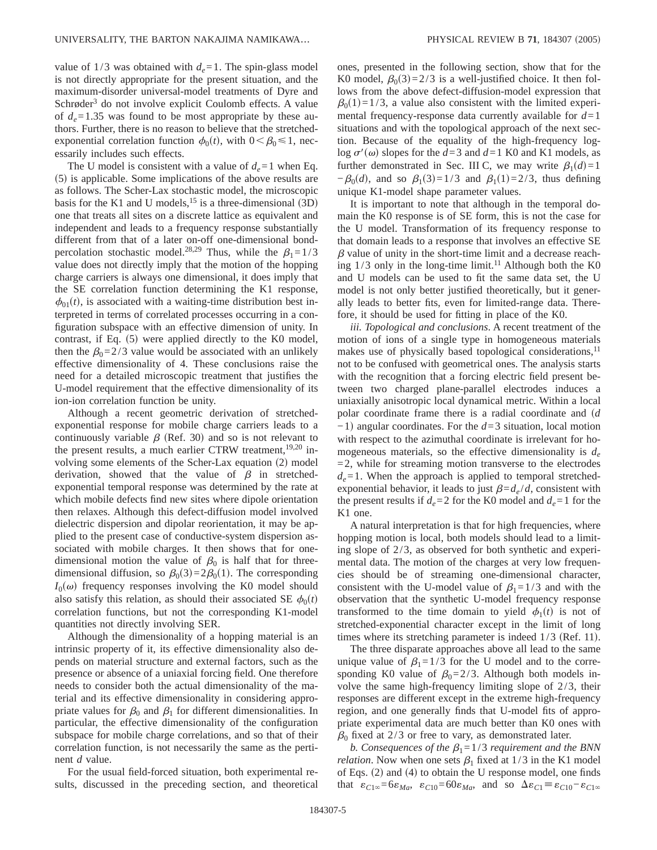value of  $1/3$  was obtained with  $d_e = 1$ . The spin-glass model is not directly appropriate for the present situation, and the maximum-disorder universal-model treatments of Dyre and Schrøder<sup>3</sup> do not involve explicit Coulomb effects. A value of  $d_e = 1.35$  was found to be most appropriate by these authors. Further, there is no reason to believe that the stretchedexponential correlation function  $\phi_0(t)$ , with  $0 < \beta_0 \le 1$ , necessarily includes such effects.

The U model is consistent with a value of  $d_e = 1$  when Eq.  $(5)$  is applicable. Some implications of the above results are as follows. The Scher-Lax stochastic model, the microscopic basis for the K1 and U models, <sup>15</sup> is a three-dimensional  $(3D)$ one that treats all sites on a discrete lattice as equivalent and independent and leads to a frequency response substantially different from that of a later on-off one-dimensional bondpercolation stochastic model.<sup>28,29</sup> Thus, while the  $\beta_1=1/3$ value does not directly imply that the motion of the hopping charge carriers is always one dimensional, it does imply that the SE correlation function determining the K1 response,  $\phi_{01}(t)$ , is associated with a waiting-time distribution best interpreted in terms of correlated processes occurring in a configuration subspace with an effective dimension of unity. In contrast, if Eq.  $(5)$  were applied directly to the K0 model, then the  $\beta_0=2/3$  value would be associated with an unlikely effective dimensionality of 4. These conclusions raise the need for a detailed microscopic treatment that justifies the U-model requirement that the effective dimensionality of its ion-ion correlation function be unity.

Although a recent geometric derivation of stretchedexponential response for mobile charge carriers leads to a continuously variable  $\beta$  (Ref. 30) and so is not relevant to the present results, a much earlier CTRW treatment,<sup>19,20</sup> involving some elements of the Scher-Lax equation (2) model derivation, showed that the value of  $\beta$  in stretchedexponential temporal response was determined by the rate at which mobile defects find new sites where dipole orientation then relaxes. Although this defect-diffusion model involved dielectric dispersion and dipolar reorientation, it may be applied to the present case of conductive-system dispersion associated with mobile charges. It then shows that for onedimensional motion the value of  $\beta_0$  is half that for threedimensional diffusion, so  $\beta_0(3)=2\beta_0(1)$ . The corresponding  $I_0(\omega)$  frequency responses involving the K0 model should also satisfy this relation, as should their associated SE  $\phi_0(t)$ correlation functions, but not the corresponding K1-model quantities not directly involving SER.

Although the dimensionality of a hopping material is an intrinsic property of it, its effective dimensionality also depends on material structure and external factors, such as the presence or absence of a uniaxial forcing field. One therefore needs to consider both the actual dimensionality of the material and its effective dimensionality in considering appropriate values for  $\beta_0$  and  $\beta_1$  for different dimensionalities. In particular, the effective dimensionality of the configuration subspace for mobile charge correlations, and so that of their correlation function, is not necessarily the same as the pertinent *d* value.

For the usual field-forced situation, both experimental results, discussed in the preceding section, and theoretical ones, presented in the following section, show that for the K0 model,  $\beta_0(3)=2/3$  is a well-justified choice. It then follows from the above defect-diffusion-model expression that  $\beta_0(1)=1/3$ , a value also consistent with the limited experimental frequency-response data currently available for  $d=1$ situations and with the topological approach of the next section. Because of the equality of the high-frequency loglog  $\sigma'(\omega)$  slopes for the  $d=3$  and  $d=1$  K0 and K1 models, as further demonstrated in Sec. III C, we may write  $\beta_1(d)=1$  $-\beta_0(d)$ , and so  $\beta_1(3)=1/3$  and  $\beta_1(1)=2/3$ , thus defining unique K1-model shape parameter values.

It is important to note that although in the temporal domain the K0 response is of SE form, this is not the case for the U model. Transformation of its frequency response to that domain leads to a response that involves an effective SE  $\beta$  value of unity in the short-time limit and a decrease reaching  $1/3$  only in the long-time limit.<sup>11</sup> Although both the K0 and U models can be used to fit the same data set, the U model is not only better justified theoretically, but it generally leads to better fits, even for limited-range data. Therefore, it should be used for fitting in place of the K0.

*iii. Topological and conclusions*. A recent treatment of the motion of ions of a single type in homogeneous materials makes use of physically based topological considerations,<sup>11</sup> not to be confused with geometrical ones. The analysis starts with the recognition that a forcing electric field present between two charged plane-parallel electrodes induces a uniaxially anisotropic local dynamical metric. Within a local polar coordinate frame there is a radial coordinate and  $\overline{d}$ −1) angular coordinates. For the *d*=3 situation, local motion with respect to the azimuthal coordinate is irrelevant for homogeneous materials, so the effective dimensionality is  $d_e$  $=$  2, while for streaming motion transverse to the electrodes  $d_e = 1$ . When the approach is applied to temporal stretchedexponential behavior, it leads to just  $\beta = d_e / d$ , consistent with the present results if  $d_e = 2$  for the K0 model and  $d_e = 1$  for the K1 one.

A natural interpretation is that for high frequencies, where hopping motion is local, both models should lead to a limiting slope of 2/3, as observed for both synthetic and experimental data. The motion of the charges at very low frequencies should be of streaming one-dimensional character, consistent with the U-model value of  $\beta_1=1/3$  and with the observation that the synthetic U-model frequency response transformed to the time domain to yield  $\phi_1(t)$  is not of stretched-exponential character except in the limit of long times where its stretching parameter is indeed  $1/3$  (Ref. 11).

The three disparate approaches above all lead to the same unique value of  $\beta_1=1/3$  for the U model and to the corresponding K0 value of  $\beta_0=2/3$ . Although both models involve the same high-frequency limiting slope of 2/3, their responses are different except in the extreme high-frequency region, and one generally finds that U-model fits of appropriate experimental data are much better than K0 ones with  $\beta_0$  fixed at 2/3 or free to vary, as demonstrated later.

*b. Consequences of the*  $\beta_1 = 1/3$  *requirement and the BNN relation*. Now when one sets  $\beta_1$  fixed at 1/3 in the K1 model of Eqs.  $(2)$  and  $(4)$  to obtain the U response model, one finds that  $\varepsilon_{C1\infty} = 6\varepsilon_{Ma}$ ,  $\varepsilon_{C10} = 60\varepsilon_{Ma}$ , and so  $\Delta \varepsilon_{C1} \equiv \varepsilon_{C10} - \varepsilon_{C1\infty}$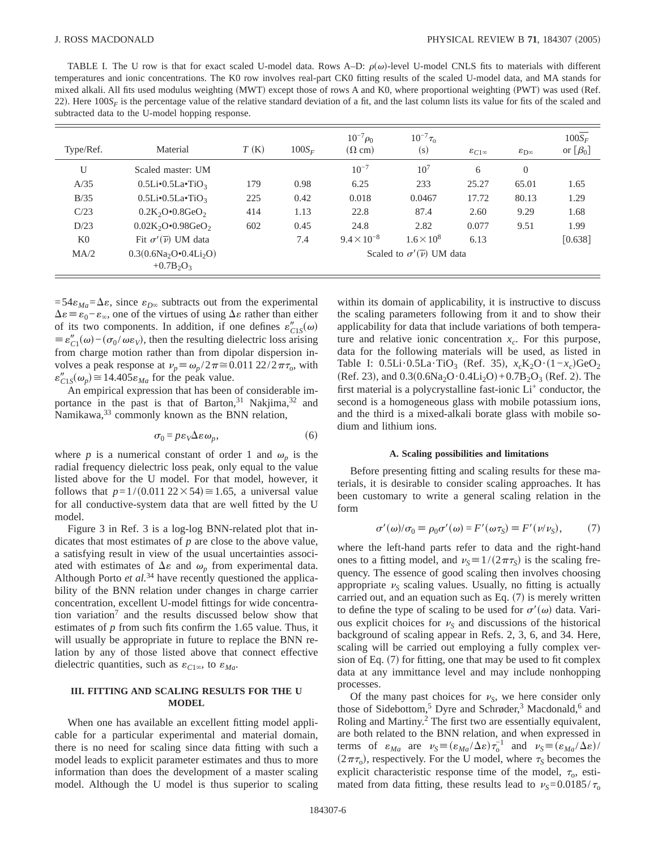TABLE I. The U row is that for exact scaled U-model data. Rows A–D:  $\rho(\omega)$ -level U-model CNLS fits to materials with different temperatures and ionic concentrations. The K0 row involves real-part CK0 fitting results of the scaled U-model data, and MA stands for mixed alkali. All fits used modulus weighting (MWT) except those of rows A and K0, where proportional weighting (PWT) was used (Ref. 22). Here  $100S_F$  is the percentage value of the relative standard deviation of a fit, and the last column lists its value for fits of the scaled and subtracted data to the U-model hopping response.

| Type/Ref.      | Material                               | T(K)                                        | $100S_F$ | $10^{-7} \rho_0$<br>$(\Omega$ cm) | $10^{-7}\tau_{0}$<br>(s) | $\varepsilon_{C1\infty}$ | $\varepsilon_{\rm D\infty}$ | $100S_F$<br>or $[\beta_0]$ |
|----------------|----------------------------------------|---------------------------------------------|----------|-----------------------------------|--------------------------|--------------------------|-----------------------------|----------------------------|
| U              | Scaled master: UM                      |                                             |          | $10^{-7}$                         | 10 <sup>7</sup>          | 6                        | $\theta$                    |                            |
| A/35           | $0.5Li(0.5LaoTiO3)$                    | 179                                         | 0.98     | 6.25                              | 233                      | 25.27                    | 65.01                       | 1.65                       |
| B/35           | $0.5Li(0.5LaoTiO3)$                    | 225                                         | 0.42     | 0.018                             | 0.0467                   | 17.72                    | 80.13                       | 1.29                       |
| C/23           | $0.2K_2O \cdot 0.8GeV_2$               | 414                                         | 1.13     | 22.8                              | 87.4                     | 2.60                     | 9.29                        | 1.68                       |
| D/23           | $0.02K_2O \cdot 0.98GeO_2$             | 602                                         | 0.45     | 24.8                              | 2.82                     | 0.077                    | 9.51                        | 1.99                       |
| K <sub>0</sub> | Fit $\sigma'(\overline{\nu})$ UM data  |                                             | 7.4      | $9.4 \times 10^{-8}$              | $1.6 \times 10^{8}$      | 6.13                     |                             | $[0.638]$                  |
| MA/2           | $0.3(0.6Na2O•0.4Li2O)$<br>$+0.7B_2O_3$ | Scaled to $\sigma'(\overline{\nu})$ UM data |          |                                   |                          |                          |                             |                            |

 $=54\varepsilon_{Ma}=\Delta\varepsilon$ , since  $\varepsilon_{D\infty}$  subtracts out from the experimental  $\Delta \varepsilon \equiv \varepsilon_0 - \varepsilon_{\infty}$ , one of the virtues of using  $\Delta \varepsilon$  rather than either of its two components. In addition, if one defines  $\varepsilon_{C1S}''(\omega)$  $\equiv \varepsilon_{C1}''(\omega) - (\sigma_0 / \omega \varepsilon_V)$ , then the resulting dielectric loss arising from charge motion rather than from dipolar dispersion involves a peak response at  $\nu_p \equiv \omega_p / 2\pi \approx 0.011 22/2\pi \tau_0$ , with  $\varepsilon''_{C1S}(\omega_p) \approx 14.405 \varepsilon_{Ma}$  for the peak value.

An empirical expression that has been of considerable importance in the past is that of Barton,  $31$  Nakjima,  $32$  and Namikawa,<sup>33</sup> commonly known as the BNN relation,

$$
\sigma_0 = p \varepsilon_V \Delta \varepsilon \omega_p,\tag{6}
$$

where *p* is a numerical constant of order 1 and  $\omega_p$  is the radial frequency dielectric loss peak, only equal to the value listed above for the U model. For that model, however, it follows that  $p=1/(0.011\ 22\times54)\approx1.65$ , a universal value for all conductive-system data that are well fitted by the U model.

Figure 3 in Ref. 3 is a log-log BNN-related plot that indicates that most estimates of *p* are close to the above value, a satisfying result in view of the usual uncertainties associated with estimates of  $\Delta \varepsilon$  and  $\omega_p$  from experimental data. Although Porto *et al.*<sup>34</sup> have recently questioned the applicability of the BNN relation under changes in charge carrier concentration, excellent U-model fittings for wide concentration variation7 and the results discussed below show that estimates of *p* from such fits confirm the 1.65 value. Thus, it will usually be appropriate in future to replace the BNN relation by any of those listed above that connect effective dielectric quantities, such as  $\varepsilon_{C1\infty}$ , to  $\varepsilon_{Ma}$ .

## **III. FITTING AND SCALING RESULTS FOR THE U MODEL**

When one has available an excellent fitting model applicable for a particular experimental and material domain, there is no need for scaling since data fitting with such a model leads to explicit parameter estimates and thus to more information than does the development of a master scaling model. Although the U model is thus superior to scaling within its domain of applicability, it is instructive to discuss the scaling parameters following from it and to show their applicability for data that include variations of both temperature and relative ionic concentration  $x_c$ . For this purpose, data for the following materials will be used, as listed in Table I:  $0.5Li \cdot 0.5La \cdot TiO<sub>3</sub>$  (Ref. 35),  $x_cK_2O \cdot (1-x_c)GeO_2$  $(Ref. 23)$ , and  $0.3(0.6Na<sub>2</sub>O·0.4Li<sub>2</sub>O)+0.7B<sub>2</sub>O<sub>3</sub>$  (Ref. 2). The first material is a polycrystalline fast-ionic Li<sup>+</sup> conductor, the second is a homogeneous glass with mobile potassium ions, and the third is a mixed-alkali borate glass with mobile sodium and lithium ions.

### **A. Scaling possibilities and limitations**

Before presenting fitting and scaling results for these materials, it is desirable to consider scaling approaches. It has been customary to write a general scaling relation in the form

$$
\sigma'(\omega)/\sigma_0 \equiv \rho_0 \sigma'(\omega) = F'(\omega \tau_S) \equiv F'(\nu/\nu_S),\tag{7}
$$

where the left-hand parts refer to data and the right-hand ones to a fitting model, and  $\nu<sub>S</sub> \equiv 1/(2\pi\tau<sub>S</sub>)$  is the scaling frequency. The essence of good scaling then involves choosing appropriate  $\nu<sub>S</sub>$  scaling values. Usually, no fitting is actually carried out, and an equation such as Eq.  $(7)$  is merely written to define the type of scaling to be used for  $\sigma'(\omega)$  data. Various explicit choices for  $\nu_s$  and discussions of the historical background of scaling appear in Refs. 2, 3, 6, and 34. Here, scaling will be carried out employing a fully complex version of Eq.  $(7)$  for fitting, one that may be used to fit complex data at any immittance level and may include nonhopping processes.

Of the many past choices for  $\nu_s$ , we here consider only those of Sidebottom,<sup>5</sup> Dyre and Schrøder,<sup>3</sup> Macdonald,<sup>6</sup> and Roling and Martiny.2 The first two are essentially equivalent, are both related to the BNN relation, and when expressed in terms of  $\varepsilon_{Ma}$  are  $v_S = (\varepsilon_{Ma}/\Delta \varepsilon) \tau_0^{-1}$  and  $v_S = (\varepsilon_{Ma}/\Delta \varepsilon)$ /  $(2\pi\tau_0)$ , respectively. For the U model, where  $\tau_S$  becomes the explicit characteristic response time of the model,  $\tau_0$ , estimated from data fitting, these results lead to  $v_s = 0.0185/\tau_0$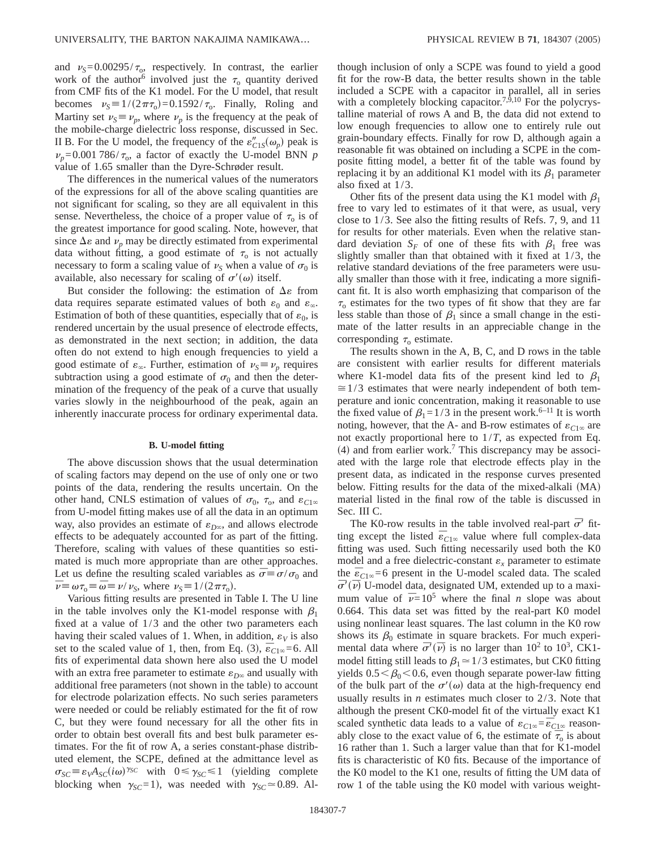and  $v_s = 0.00295/\tau_o$ , respectively. In contrast, the earlier work of the author<sup>6</sup> involved just the  $\tau_0$  quantity derived from CMF fits of the K1 model. For the U model, that result becomes  $v<sub>S</sub> \equiv 1/(2\pi\tau_0) = 0.1592/\tau_0$ . Finally, Roling and Martiny set  $\nu_s \equiv \nu_p$ , where  $\nu_p$  is the frequency at the peak of the mobile-charge dielectric loss response, discussed in Sec. II B. For the U model, the frequency of the  $\varepsilon_{C1S}''(\omega_p)$  peak is  $\nu_p$ =0.001 786/ $\tau_o$ , a factor of exactly the U-model BNN *p* value of 1.65 smaller than the Dyre-Schrøder result.

The differences in the numerical values of the numerators of the expressions for all of the above scaling quantities are not significant for scaling, so they are all equivalent in this sense. Nevertheless, the choice of a proper value of  $\tau_0$  is of the greatest importance for good scaling. Note, however, that since  $\Delta \varepsilon$  and  $\nu_p$  may be directly estimated from experimental data without fitting, a good estimate of  $\tau_0$  is not actually necessary to form a scaling value of  $\nu<sub>S</sub>$  when a value of  $\sigma<sub>0</sub>$  is available, also necessary for scaling of  $\sigma'(\omega)$  itself.

But consider the following: the estimation of  $\Delta \varepsilon$  from data requires separate estimated values of both  $\varepsilon_0$  and  $\varepsilon_{\infty}$ . Estimation of both of these quantities, especially that of  $\varepsilon_0$ , is rendered uncertain by the usual presence of electrode effects, as demonstrated in the next section; in addition, the data often do not extend to high enough frequencies to yield a good estimate of  $\varepsilon_{\infty}$ . Further, estimation of  $\nu_{S} \equiv \nu_{p}$  requires subtraction using a good estimate of  $\sigma_0$  and then the determination of the frequency of the peak of a curve that usually varies slowly in the neighbourhood of the peak, again an inherently inaccurate process for ordinary experimental data.

## **B. U-model fitting**

The above discussion shows that the usual determination of scaling factors may depend on the use of only one or two points of the data, rendering the results uncertain. On the other hand, CNLS estimation of values of  $\sigma_0$ ,  $\tau_0$ , and  $\varepsilon_{C1\infty}$ from U-model fitting makes use of all the data in an optimum way, also provides an estimate of  $\varepsilon_{D\infty}$ , and allows electrode effects to be adequately accounted for as part of the fitting. Therefore, scaling with values of these quantities so estimated is much more appropriate than are other approaches. Let us define the resulting scaled variables as  $\bar{\sigma} \equiv \sigma/\sigma_0$  and  $\bar{\nu} \equiv \omega \tau_0 \equiv \bar{\omega} \equiv \nu / \nu_s$ , where  $\nu_s \equiv 1/(2\pi \tau_0)$ .

Various fitting results are presented in Table I. The U line in the table involves only the K1-model response with  $\beta_1$ fixed at a value of 1/3 and the other two parameters each having their scaled values of 1. When, in addition,  $\varepsilon_V$  is also set to the scaled value of 1, then, from Eq. (3),  $\bar{\epsilon}_{C1\infty} = 6$ . All fits of experimental data shown here also used the U model with an extra free parameter to estimate  $\varepsilon_{D^\infty}$  and usually with additional free parameters (not shown in the table) to account for electrode polarization effects. No such series parameters were needed or could be reliably estimated for the fit of row C, but they were found necessary for all the other fits in order to obtain best overall fits and best bulk parameter estimates. For the fit of row A, a series constant-phase distributed element, the SCPE, defined at the admittance level as  $\sigma_{SC} \equiv \varepsilon_{V} A_{SC} (i\omega)^{\gamma_{SC}}$  with  $0 \le \gamma_{SC} \le 1$  (yielding complete blocking when  $\gamma_{SC} = 1$ , was needed with  $\gamma_{SC} \approx 0.89$ . Although inclusion of only a SCPE was found to yield a good fit for the row-B data, the better results shown in the table included a SCPE with a capacitor in parallel, all in series with a completely blocking capacitor.<sup>7, $\hat{9}$ ,10 For the polycrys-</sup> talline material of rows A and B, the data did not extend to low enough frequencies to allow one to entirely rule out grain-boundary effects. Finally for row D, although again a reasonable fit was obtained on including a SCPE in the composite fitting model, a better fit of the table was found by replacing it by an additional K1 model with its  $\beta_1$  parameter also fixed at 1/3.

Other fits of the present data using the K1 model with  $\beta_1$ free to vary led to estimates of it that were, as usual, very close to 1/3. See also the fitting results of Refs. 7, 9, and 11 for results for other materials. Even when the relative standard deviation  $S_F$  of one of these fits with  $\beta_1$  free was slightly smaller than that obtained with it fixed at 1/3, the relative standard deviations of the free parameters were usually smaller than those with it free, indicating a more significant fit. It is also worth emphasizing that comparison of the  $\tau_0$  estimates for the two types of fit show that they are far less stable than those of  $\beta_1$  since a small change in the estimate of the latter results in an appreciable change in the corresponding  $\tau_0$  estimate.

The results shown in the A, B, C, and D rows in the table are consistent with earlier results for different materials where K1-model data fits of the present kind led to  $\beta_1$  $\approx$  1/3 estimates that were nearly independent of both temperature and ionic concentration, making it reasonable to use the fixed value of  $\beta_1=1/3$  in the present work.<sup>6–11</sup> It is worth noting, however, that the A- and B-row estimates of  $\varepsilon_{C1\infty}$  are not exactly proportional here to 1/*T*, as expected from Eq.  $(4)$  and from earlier work.<sup>7</sup> This discrepancy may be associated with the large role that electrode effects play in the present data, as indicated in the response curves presented below. Fitting results for the data of the mixed-alkali  $(MA)$ material listed in the final row of the table is discussed in Sec. III C.

The K0-row results in the table involved real-part  $\bar{\sigma}$ <sup>'</sup> fitthe rist of results in the listed *n* intervention plate of the listed  $\bar{\epsilon}_{C1\infty}$  value where full complex-data fitting was used. Such fitting necessarily used both the K0 model and a free dielectric-constant  $\varepsilon_x$  parameter to estimate the  $\bar{\epsilon}_{C1\infty}$ =6 present in the U-model scaled data. The scaled  $\overline{\sigma}'(\overline{\nu})$  U-model data, designated UM, extended up to a maximum value of  $\bar{\nu}=10^5$  where the final *n* slope was about 0.664. This data set was fitted by the real-part K0 model using nonlinear least squares. The last column in the K0 row shows its  $\beta_0$  estimate in square brackets. For much experimental data where  $\bar{\sigma}'(\bar{\nu})$  is no larger than  $10^2$  to  $10^3$ , CK1model fitting still leads to  $\beta_1 \approx 1/3$  estimates, but CK0 fitting yields  $0.5<\beta_0<0.6$ , even though separate power-law fitting of the bulk part of the  $\sigma'(\omega)$  data at the high-frequency end usually results in *n* estimates much closer to 2/3. Note that although the present CK0-model fit of the virtually exact K1 scaled synthetic data leads to a value of  $\varepsilon_{C1\infty} = \bar{\varepsilon}_{C1\infty}$  reasonably close to the exact value of 6, the estimate of  $\bar{\tau}_0$  is about 16 rather than 1. Such a larger value than that for K1-model fits is characteristic of K0 fits. Because of the importance of the K0 model to the K1 one, results of fitting the UM data of row 1 of the table using the K0 model with various weight-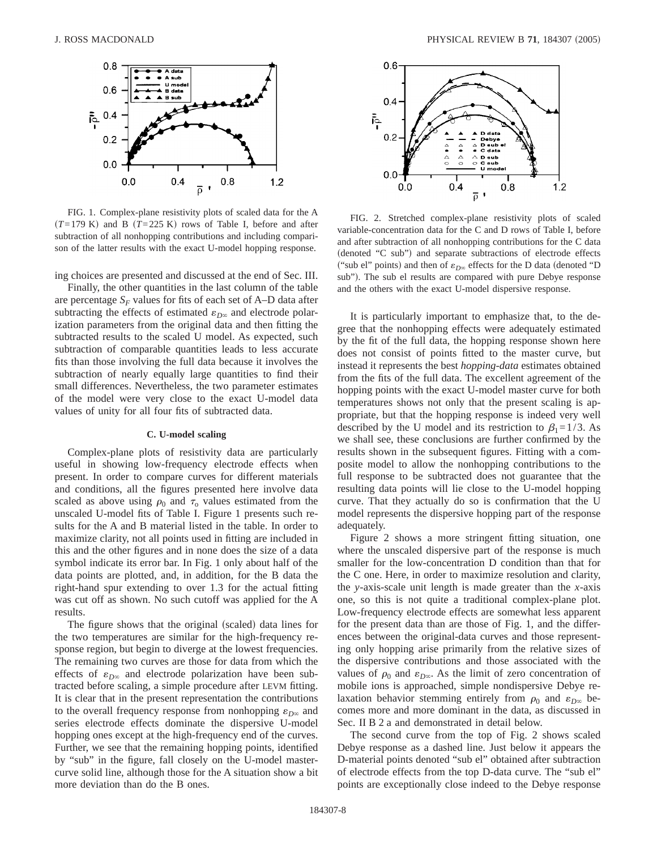

FIG. 1. Complex-plane resistivity plots of scaled data for the A  $(T=179 \text{ K})$  and B  $(T=225 \text{ K})$  rows of Table I, before and after subtraction of all nonhopping contributions and including comparison of the latter results with the exact U-model hopping response.

ing choices are presented and discussed at the end of Sec. III.

Finally, the other quantities in the last column of the table are percentage  $S_F$  values for fits of each set of A–D data after subtracting the effects of estimated  $\varepsilon_{D^\infty}$  and electrode polarization parameters from the original data and then fitting the subtracted results to the scaled U model. As expected, such subtraction of comparable quantities leads to less accurate fits than those involving the full data because it involves the subtraction of nearly equally large quantities to find their small differences. Nevertheless, the two parameter estimates of the model were very close to the exact U-model data values of unity for all four fits of subtracted data.

## **C. U-model scaling**

Complex-plane plots of resistivity data are particularly useful in showing low-frequency electrode effects when present. In order to compare curves for different materials and conditions, all the figures presented here involve data scaled as above using  $\rho_0$  and  $\tau_0$  values estimated from the unscaled U-model fits of Table I. Figure 1 presents such results for the A and B material listed in the table. In order to maximize clarity, not all points used in fitting are included in this and the other figures and in none does the size of a data symbol indicate its error bar. In Fig. 1 only about half of the data points are plotted, and, in addition, for the B data the right-hand spur extending to over 1.3 for the actual fitting was cut off as shown. No such cutoff was applied for the A results.

The figure shows that the original (scaled) data lines for the two temperatures are similar for the high-frequency response region, but begin to diverge at the lowest frequencies. The remaining two curves are those for data from which the effects of  $\varepsilon_{D\infty}$  and electrode polarization have been subtracted before scaling, a simple procedure after LEVM fitting. It is clear that in the present representation the contributions to the overall frequency response from nonhopping  $\varepsilon_{D^\infty}$  and series electrode effects dominate the dispersive U-model hopping ones except at the high-frequency end of the curves. Further, we see that the remaining hopping points, identified by "sub" in the figure, fall closely on the U-model mastercurve solid line, although those for the A situation show a bit more deviation than do the B ones.



FIG. 2. Stretched complex-plane resistivity plots of scaled variable-concentration data for the C and D rows of Table I, before and after subtraction of all nonhopping contributions for the C data (denoted "C sub") and separate subtractions of electrode effects ("sub el" points) and then of  $\varepsilon_{D^\infty}$  effects for the D data (denoted "D sub"). The sub el results are compared with pure Debye response and the others with the exact U-model dispersive response.

It is particularly important to emphasize that, to the degree that the nonhopping effects were adequately estimated by the fit of the full data, the hopping response shown here does not consist of points fitted to the master curve, but instead it represents the best *hopping-data* estimates obtained from the fits of the full data. The excellent agreement of the hopping points with the exact U-model master curve for both temperatures shows not only that the present scaling is appropriate, but that the hopping response is indeed very well described by the U model and its restriction to  $\beta_1=1/3$ . As we shall see, these conclusions are further confirmed by the results shown in the subsequent figures. Fitting with a composite model to allow the nonhopping contributions to the full response to be subtracted does not guarantee that the resulting data points will lie close to the U-model hopping curve. That they actually do so is confirmation that the U model represents the dispersive hopping part of the response adequately.

Figure 2 shows a more stringent fitting situation, one where the unscaled dispersive part of the response is much smaller for the low-concentration D condition than that for the C one. Here, in order to maximize resolution and clarity, the *y*-axis-scale unit length is made greater than the *x*-axis one, so this is not quite a traditional complex-plane plot. Low-frequency electrode effects are somewhat less apparent for the present data than are those of Fig. 1, and the differences between the original-data curves and those representing only hopping arise primarily from the relative sizes of the dispersive contributions and those associated with the values of  $\rho_0$  and  $\varepsilon_{D\infty}$ . As the limit of zero concentration of mobile ions is approached, simple nondispersive Debye relaxation behavior stemming entirely from  $\rho_0$  and  $\varepsilon_{D^\infty}$  becomes more and more dominant in the data, as discussed in Sec. II B 2 a and demonstrated in detail below.

The second curve from the top of Fig. 2 shows scaled Debye response as a dashed line. Just below it appears the D-material points denoted "sub el" obtained after subtraction of electrode effects from the top D-data curve. The "sub el" points are exceptionally close indeed to the Debye response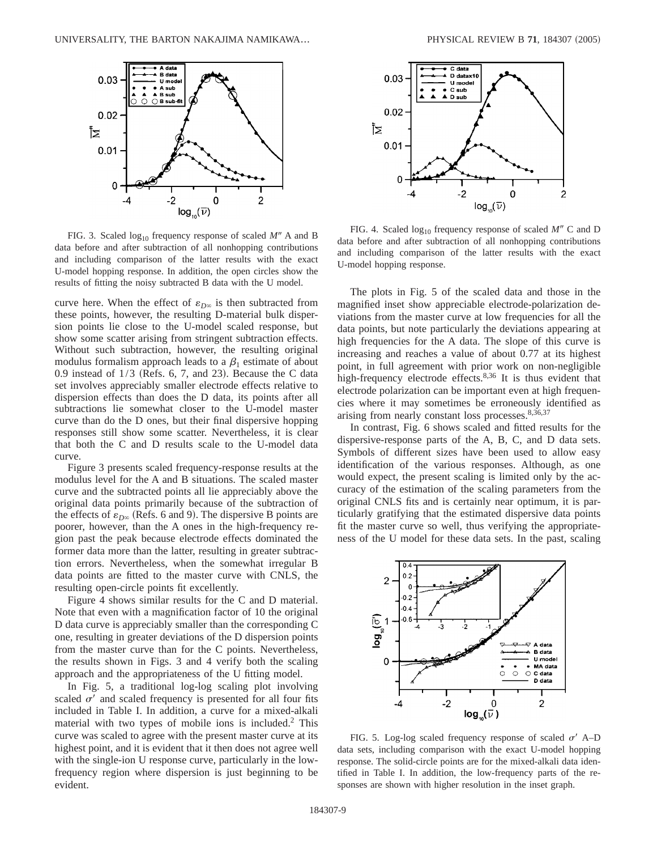

FIG. 3. Scaled  $log_{10}$  frequency response of scaled *M<sup>n</sup>* A and B data before and after subtraction of all nonhopping contributions and including comparison of the latter results with the exact U-model hopping response. In addition, the open circles show the results of fitting the noisy subtracted B data with the U model.

curve here. When the effect of  $\varepsilon_{D\infty}$  is then subtracted from these points, however, the resulting D-material bulk dispersion points lie close to the U-model scaled response, but show some scatter arising from stringent subtraction effects. Without such subtraction, however, the resulting original modulus formalism approach leads to a  $\beta_1$  estimate of about 0.9 instead of  $1/3$  (Refs. 6, 7, and 23). Because the C data set involves appreciably smaller electrode effects relative to dispersion effects than does the D data, its points after all subtractions lie somewhat closer to the U-model master curve than do the D ones, but their final dispersive hopping responses still show some scatter. Nevertheless, it is clear that both the C and D results scale to the U-model data curve.

Figure 3 presents scaled frequency-response results at the modulus level for the A and B situations. The scaled master curve and the subtracted points all lie appreciably above the original data points primarily because of the subtraction of the effects of  $\varepsilon_{D\infty}$  (Refs. 6 and 9). The dispersive B points are poorer, however, than the A ones in the high-frequency region past the peak because electrode effects dominated the former data more than the latter, resulting in greater subtraction errors. Nevertheless, when the somewhat irregular B data points are fitted to the master curve with CNLS, the resulting open-circle points fit excellently.

Figure 4 shows similar results for the C and D material. Note that even with a magnification factor of 10 the original D data curve is appreciably smaller than the corresponding C one, resulting in greater deviations of the D dispersion points from the master curve than for the C points. Nevertheless, the results shown in Figs. 3 and 4 verify both the scaling approach and the appropriateness of the U fitting model.

In Fig. 5, a traditional log-log scaling plot involving scaled  $\sigma'$  and scaled frequency is presented for all four fits included in Table I. In addition, a curve for a mixed-alkali material with two types of mobile ions is included.2 This curve was scaled to agree with the present master curve at its highest point, and it is evident that it then does not agree well with the single-ion U response curve, particularly in the lowfrequency region where dispersion is just beginning to be evident.



FIG. 4. Scaled  $log_{10}$  frequency response of scaled *M<sup>n</sup>* C and D data before and after subtraction of all nonhopping contributions and including comparison of the latter results with the exact U-model hopping response.

The plots in Fig. 5 of the scaled data and those in the magnified inset show appreciable electrode-polarization deviations from the master curve at low frequencies for all the data points, but note particularly the deviations appearing at high frequencies for the A data. The slope of this curve is increasing and reaches a value of about 0.77 at its highest point, in full agreement with prior work on non-negligible high-frequency electrode effects.<sup>8,36</sup> It is thus evident that electrode polarization can be important even at high frequencies where it may sometimes be erroneously identified as arising from nearly constant loss processes.<sup>8,36,37</sup>

In contrast, Fig. 6 shows scaled and fitted results for the dispersive-response parts of the A, B, C, and D data sets. Symbols of different sizes have been used to allow easy identification of the various responses. Although, as one would expect, the present scaling is limited only by the accuracy of the estimation of the scaling parameters from the original CNLS fits and is certainly near optimum, it is particularly gratifying that the estimated dispersive data points fit the master curve so well, thus verifying the appropriateness of the U model for these data sets. In the past, scaling



FIG. 5. Log-log scaled frequency response of scaled  $\sigma'$  A–D data sets, including comparison with the exact U-model hopping response. The solid-circle points are for the mixed-alkali data identified in Table I. In addition, the low-frequency parts of the responses are shown with higher resolution in the inset graph.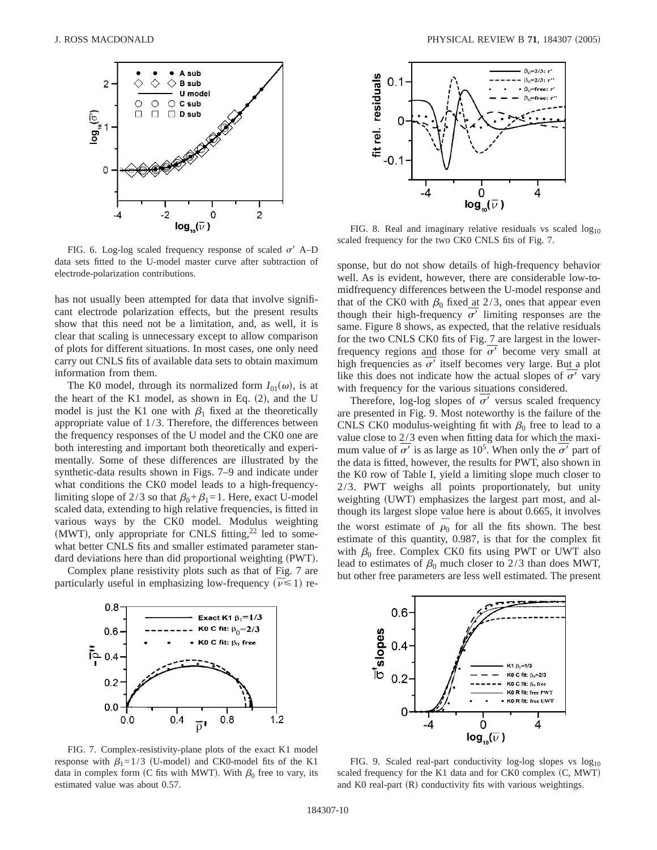

FIG. 6. Log-log scaled frequency response of scaled  $\sigma'$  A–D data sets fitted to the U-model master curve after subtraction of electrode-polarization contributions.

has not usually been attempted for data that involve significant electrode polarization effects, but the present results show that this need not be a limitation, and, as well, it is clear that scaling is unnecessary except to allow comparison of plots for different situations. In most cases, one only need carry out CNLS fits of available data sets to obtain maximum information from them.

The K0 model, through its normalized form  $I_{01}(\omega)$ , is at the heart of the K1 model, as shown in Eq.  $(2)$ , and the U model is just the K1 one with  $\beta_1$  fixed at the theoretically appropriate value of 1/3. Therefore, the differences between the frequency responses of the U model and the CK0 one are both interesting and important both theoretically and experimentally. Some of these differences are illustrated by the synthetic-data results shown in Figs. 7–9 and indicate under what conditions the CK0 model leads to a high-frequencylimiting slope of 2/3 so that  $\beta_0+\beta_1=1$ . Here, exact U-model scaled data, extending to high relative frequencies, is fitted in various ways by the CK0 model. Modulus weighting (MWT), only appropriate for CNLS fitting, $22$  led to somewhat better CNLS fits and smaller estimated parameter standard deviations here than did proportional weighting (PWT).

Complex plane resistivity plots such as that of Fig. 7 are particularly useful in emphasizing low-frequency  $(\bar{\nu} \le 1)$  re-





FIG. 8. Real and imaginary relative residuals vs scaled  $log_{10}$ scaled frequency for the two CK0 CNLS fits of Fig. 7.

sponse, but do not show details of high-frequency behavior well. As is evident, however, there are considerable low-tomidfrequency differences between the U-model response and that of the CK0 with  $\beta_0$  fixed at 2/3, ones that appear even though their high-frequency  $\sigma'$  limiting responses are the same. Figure 8 shows, as expected, that the relative residuals for the two CNLS CK0 fits of Fig. 7 are largest in the lowerfrequency regions and those for  $\sigma'$  become very small at high frequencies as  $\sigma'$  itself becomes very large. But a plot like this does not indicate how the actual slopes of  $\sigma'$  vary with frequency for the various situations considered.

Therefore, log-log slopes of  $\overline{\sigma'}$  versus scaled frequency are presented in Fig. 9. Most noteworthy is the failure of the CNLS CK0 modulus-weighting fit with  $\beta_0$  free to lead to a value close to 2/3 even when fitting data for which the maximum value of  $\overline{\sigma'}$  is as large as 10<sup>5</sup>. When only the  $\overline{\sigma'}$  part of the data is fitted, however, the results for PWT, also shown in the K0 row of Table I, yield a limiting slope much closer to 2/3. PWT weighs all points proportionately, but unity weighting (UWT) emphasizes the largest part most, and although its largest slope value here is about 0.665, it involves the worst estimate of  $\rho_0$  for all the fits shown. The best estimate of this quantity, 0.987, is that for the complex fit with  $\beta_0$  free. Complex CK0 fits using PWT or UWT also lead to estimates of  $\beta_0$  much closer to 2/3 than does MWT, but other free parameters are less well estimated. The present



FIG. 7. Complex-resistivity-plane plots of the exact K1 model response with  $\beta_1=1/3$  (U-model) and CK0-model fits of the K1 data in complex form (C fits with MWT). With  $\beta_0$  free to vary, its estimated value was about 0.57.



FIG. 9. Scaled real-part conductivity log-log slopes vs  $log_{10}$ scaled frequency for the K1 data and for CK0 complex  $(C, MWT)$ and K0 real-part  $(R)$  conductivity fits with various weightings.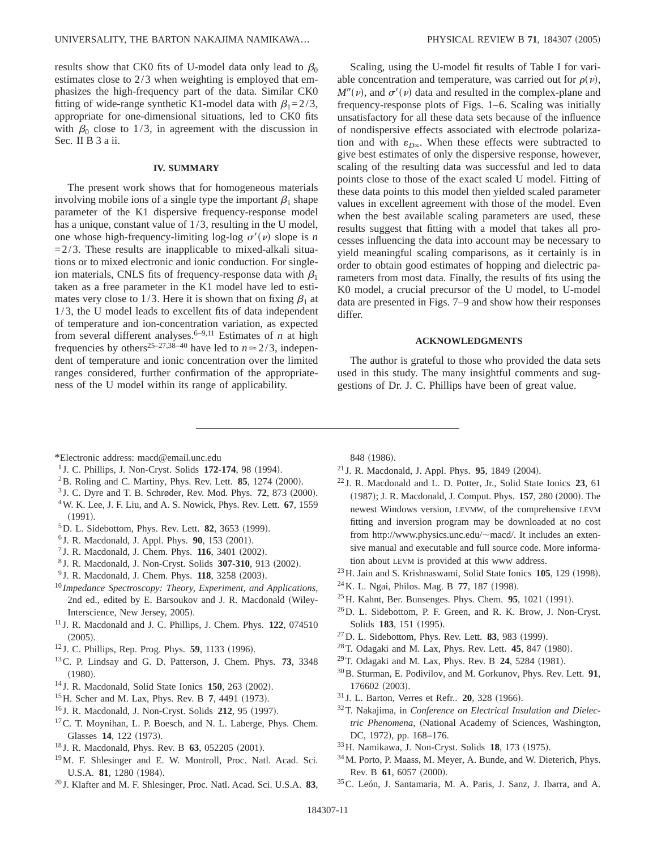results show that CK0 fits of U-model data only lead to  $\beta_0$ estimates close to 2/3 when weighting is employed that emphasizes the high-frequency part of the data. Similar CK0 fitting of wide-range synthetic K1-model data with  $\beta_1=2/3$ , appropriate for one-dimensional situations, led to CK0 fits with  $\beta_0$  close to 1/3, in agreement with the discussion in Sec. II B 3 a ii.

## **IV. SUMMARY**

The present work shows that for homogeneous materials involving mobile ions of a single type the important  $\beta_1$  shape parameter of the K1 dispersive frequency-response model has a unique, constant value of  $1/3$ , resulting in the U model, one whose high-frequency-limiting log-log  $\sigma'(\nu)$  slope is *n*  $=2/3$ . These results are inapplicable to mixed-alkali situations or to mixed electronic and ionic conduction. For singleion materials, CNLS fits of frequency-response data with  $\beta_1$ taken as a free parameter in the K1 model have led to estimates very close to 1/3. Here it is shown that on fixing  $\beta_1$  at 1/3, the U model leads to excellent fits of data independent of temperature and ion-concentration variation, as expected from several different analyses.6–9,11 Estimates of *n* at high frequencies by others<sup>25–27,38–40</sup> have led to  $n \approx 2/3$ , independent of temperature and ionic concentration over the limited ranges considered, further confirmation of the appropriateness of the U model within its range of applicability.

Scaling, using the U-model fit results of Table I for variable concentration and temperature, was carried out for  $\rho(\nu)$ ,  $M''(\nu)$ , and  $\sigma'(\nu)$  data and resulted in the complex-plane and frequency-response plots of Figs. 1–6. Scaling was initially unsatisfactory for all these data sets because of the influence of nondispersive effects associated with electrode polarization and with  $\varepsilon_{D^\infty}$ . When these effects were subtracted to give best estimates of only the dispersive response, however, scaling of the resulting data was successful and led to data points close to those of the exact scaled U model. Fitting of these data points to this model then yielded scaled parameter values in excellent agreement with those of the model. Even when the best available scaling parameters are used, these results suggest that fitting with a model that takes all processes influencing the data into account may be necessary to yield meaningful scaling comparisons, as it certainly is in order to obtain good estimates of hopping and dielectric parameters from most data. Finally, the results of fits using the K0 model, a crucial precursor of the U model, to U-model data are presented in Figs. 7–9 and show how their responses differ.

## **ACKNOWLEDGMENTS**

The author is grateful to those who provided the data sets used in this study. The many insightful comments and suggestions of Dr. J. C. Phillips have been of great value.

- \*Electronic address: macd@email.unc.edu
- <sup>1</sup> J. C. Phillips, J. Non-Cryst. Solids **172-174**, 98 (1994).
- $^{2}$ B. Roling and C. Martiny, Phys. Rev. Lett. **85**, 1274 (2000).
- $3$  J. C. Dyre and T. B. Schrøder, Rev. Mod. Phys. **72**, 873 (2000). 4W. K. Lee, J. F. Liu, and A. S. Nowick, Phys. Rev. Lett. **67**, 1559  $(1991).$
- <sup>5</sup>D. L. Sidebottom, Phys. Rev. Lett. **82**, 3653 (1999).
- <sup>6</sup> J. R. Macdonald, J. Appl. Phys. **90**, 153 (2001).
- <sup>7</sup> J. R. Macdonald, J. Chem. Phys. **116**, 3401 (2002).
- <sup>8</sup> J. R. Macdonald, J. Non-Cryst. Solids **307-310**, 913 (2002).
- <sup>9</sup> J. R. Macdonald, J. Chem. Phys. **118**, 3258 (2003).
- <sup>10</sup> *Impedance Spectroscopy: Theory, Experiment, and Applications*, 2nd ed., edited by E. Barsoukov and J. R. Macdonald (Wiley-Interscience, New Jersey, 2005).
- <sup>11</sup> J. R. Macdonald and J. C. Phillips, J. Chem. Phys. **122**, 074510  $(2005).$
- <sup>12</sup> J. C. Phillips, Rep. Prog. Phys. **59**, 1133 (1996).
- 13C. P. Lindsay and G. D. Patterson, J. Chem. Phys. **73**, 3348  $(1980).$
- <sup>14</sup> J. R. Macdonald, Solid State Ionics **150**, 263 (2002).
- <sup>15</sup>H. Scher and M. Lax, Phys. Rev. B 7, 4491 (1973).
- <sup>16</sup> J. R. Macdonald, J. Non-Cryst. Solids **212**, 95 (1997).
- <sup>17</sup>C. T. Moynihan, L. P. Boesch, and N. L. Laberge, Phys. Chem. Glasses **14**, 122 (1973).
- <sup>18</sup> J. R. Macdonald, Phys. Rev. B **63**, 052205 (2001).
- 19M. F. Shlesinger and E. W. Montroll, Proc. Natl. Acad. Sci. U.S.A. 81, 1280 (1984).
- <sup>20</sup> J. Klafter and M. F. Shlesinger, Proc. Natl. Acad. Sci. U.S.A. **83**,

848 (1986).

- <sup>21</sup> J. R. Macdonald, J. Appl. Phys. **95**, 1849 (2004).
- <sup>22</sup> J. R. Macdonald and L. D. Potter, Jr., Solid State Ionics **23**, 61 (1987); J. R. Macdonald, J. Comput. Phys. **157**, 280 (2000). The newest Windows version, LEVMW, of the comprehensive LEVM fitting and inversion program may be downloaded at no cost from http://www.physics.unc.edu/~macd/. It includes an extensive manual and executable and full source code. More information about LEVM is provided at this www address.
- <sup>23</sup>H. Jain and S. Krishnaswami, Solid State Ionics **105**, 129 (1998).
- <sup>24</sup> K. L. Ngai, Philos. Mag. B **77**, 187 (1998).
- $^{25}$ H. Kahnt, Ber. Bunsenges. Phys. Chem. **95**, 1021 (1991).
- $^{26}$ D. L. Sidebottom, P. F. Green, and R. K. Brow, J. Non-Cryst. Solids 183, 151 (1995).
- <sup>27</sup>D. L. Sidebottom, Phys. Rev. Lett. **83**, 983 (1999).
- <sup>28</sup> T. Odagaki and M. Lax, Phys. Rev. Lett. **45**, 847 (1980).
- <sup>29</sup> T. Odagaki and M. Lax, Phys. Rev. B **24**, 5284 (1981).
- 30B. Sturman, E. Podivilov, and M. Gorkunov, Phys. Rev. Lett. **91**, 176602 (2003).
- <sup>31</sup> J. L. Barton, Verres et Refr.. **20**, 328 (1966).
- 32T. Nakajima, in *Conference on Electrical Insulation and Dielectric Phenomena*, (National Academy of Sciences, Washington, DC, 1972), pp. 168-176.
- 33 H. Namikawa, J. Non-Cryst. Solids 18, 173 (1975).
- 34M. Porto, P. Maass, M. Meyer, A. Bunde, and W. Dieterich, Phys. Rev. B 61, 6057 (2000).
- 35C. León, J. Santamaria, M. A. Paris, J. Sanz, J. Ibarra, and A.